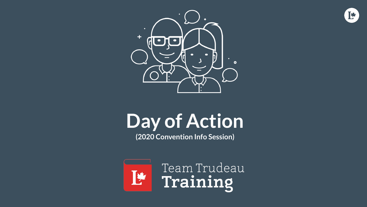



#### **Day of Action**

**(2020 Convention Info Session)**

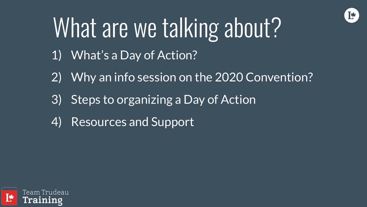

#### What are we talking about?

- 1) What's a Day of Action?
- 2) Why an info session on the 2020 Convention?
- 3) Steps to organizing a Day of Action
- 4) Resources and Support

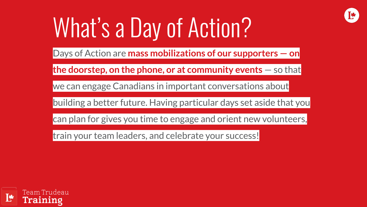

# What's a Day of Action?

Days of Action are **mass mobilizations of our supporters — on**

**the doorstep, on the phone, or at community events** — so that

we can engage Canadians in important conversations about

building a better future. Having particular days set aside that you

can plan for gives you time to engage and orient new volunteers,

train your team leaders, and celebrate your success!

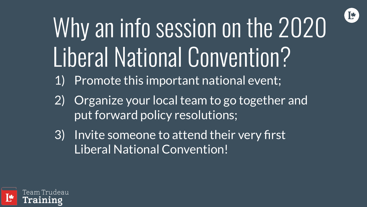

# Why an info session on the 2020 Liberal National Convention?

- 1) Promote this important national event;
- 2) Organize your local team to go together and put forward policy resolutions;
- 3) Invite someone to attend their very first Liberal National Convention!

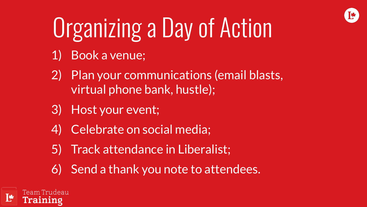# Organizing a Day of Action

- 1) Book a venue;
- 2) Plan your communications (email blasts, virtual phone bank, hustle);
- 3) Host your event;
- 4) Celebrate on social media;
- 5) Track attendance in Liberalist;
- 6) Send a thank you note to attendees.

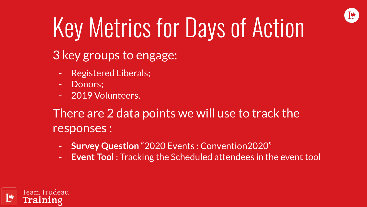

## Key Metrics for Days of Action

- 3 key groups to engage:
	- Registered Liberals;
	- Donors:
	- 2019 Volunteers.

There are 2 data points we will use to track the responses :

- **Survey Question** "2020 Events : Convention2020"
- **Event Tool**: Tracking the Scheduled attendees in the event tool

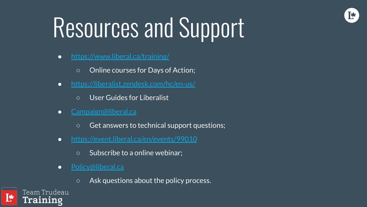## Resources and Support

Ī₩

- <https://www.liberal.ca/training/>
	- Online courses for Days of Action;
- <https://liberalist.zendesk.com/hc/en-us/>
	- User Guides for Liberalist
- [Campaign@liberal.ca](mailto:Campaign@liberal.ca)
	- Get answers to technical support questions;
- <https://event.liberal.ca/en/events/99010>
	- Subscribe to a online webinar;
- [Policy@liberal.ca](mailto:Policy@liberal.ca)
	- Ask questions about the policy process.